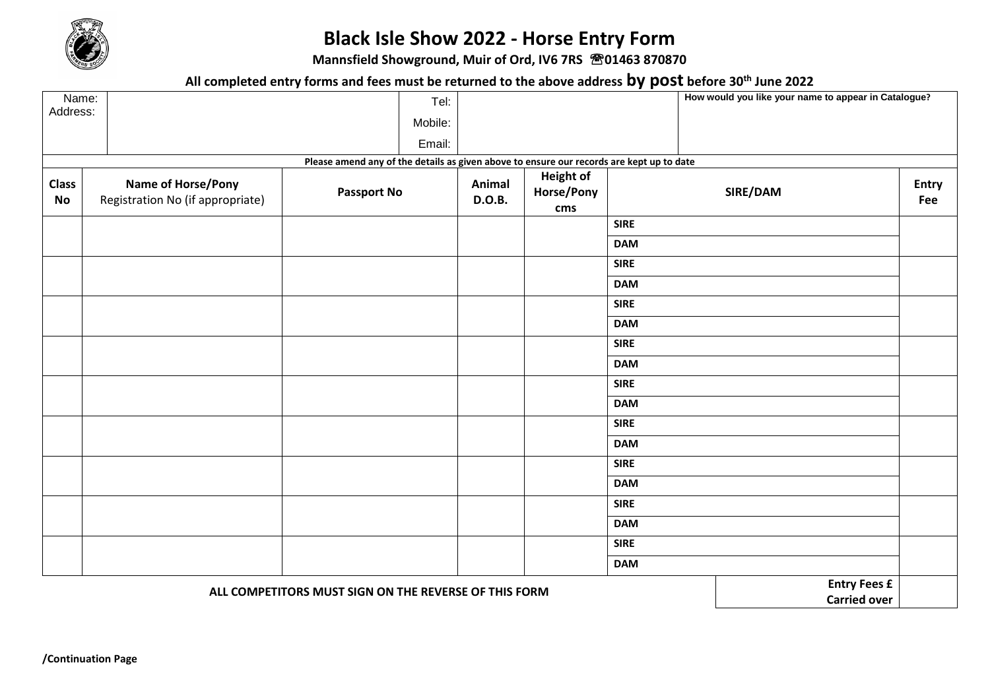

## **Black Isle Show 2022 - Horse Entry Form**

**Mannsfield Showground, Muir of Ord, IV6 7RS 01463 870870**

**All completed entry forms and fees must be returned to the above address by post before 30th June 2022**

| Name:              |                                                               |                                                                                          |                  |                                                   | The completed charge round and recommoducies returned to the above data cooley pool before our same edge.<br>How would you like your name to appear in Catalogue? |  |                     |
|--------------------|---------------------------------------------------------------|------------------------------------------------------------------------------------------|------------------|---------------------------------------------------|-------------------------------------------------------------------------------------------------------------------------------------------------------------------|--|---------------------|
| Address:           |                                                               | Tel:<br>Mobile:                                                                          |                  |                                                   |                                                                                                                                                                   |  |                     |
|                    |                                                               | Email:                                                                                   |                  |                                                   |                                                                                                                                                                   |  |                     |
|                    |                                                               | Please amend any of the details as given above to ensure our records are kept up to date |                  |                                                   |                                                                                                                                                                   |  |                     |
| <b>Class</b><br>No | <b>Name of Horse/Pony</b><br>Registration No (if appropriate) | <b>Passport No</b>                                                                       | Animal<br>D.O.B. | <b>Height of</b><br>Horse/Pony<br>SIRE/DAM<br>cms |                                                                                                                                                                   |  | <b>Entry</b><br>Fee |
|                    |                                                               |                                                                                          |                  |                                                   | <b>SIRE</b>                                                                                                                                                       |  |                     |
|                    |                                                               |                                                                                          |                  |                                                   | <b>DAM</b>                                                                                                                                                        |  |                     |
|                    |                                                               |                                                                                          |                  |                                                   | <b>SIRE</b>                                                                                                                                                       |  |                     |
|                    |                                                               |                                                                                          |                  |                                                   | <b>DAM</b>                                                                                                                                                        |  |                     |
|                    |                                                               |                                                                                          |                  |                                                   | <b>SIRE</b>                                                                                                                                                       |  |                     |
|                    |                                                               |                                                                                          |                  |                                                   | <b>DAM</b>                                                                                                                                                        |  |                     |
|                    |                                                               |                                                                                          |                  |                                                   | <b>SIRE</b>                                                                                                                                                       |  |                     |
|                    |                                                               |                                                                                          |                  |                                                   | <b>DAM</b>                                                                                                                                                        |  |                     |
|                    |                                                               |                                                                                          |                  |                                                   | <b>SIRE</b>                                                                                                                                                       |  |                     |
|                    |                                                               |                                                                                          |                  |                                                   | <b>DAM</b>                                                                                                                                                        |  |                     |
|                    |                                                               |                                                                                          |                  |                                                   | <b>SIRE</b>                                                                                                                                                       |  |                     |
|                    |                                                               |                                                                                          |                  |                                                   | <b>DAM</b>                                                                                                                                                        |  |                     |
|                    |                                                               |                                                                                          |                  |                                                   | <b>SIRE</b>                                                                                                                                                       |  |                     |
|                    |                                                               |                                                                                          |                  |                                                   | <b>DAM</b>                                                                                                                                                        |  |                     |
|                    |                                                               |                                                                                          |                  |                                                   | <b>SIRE</b>                                                                                                                                                       |  |                     |
|                    |                                                               |                                                                                          |                  |                                                   | <b>DAM</b>                                                                                                                                                        |  |                     |
|                    |                                                               |                                                                                          |                  |                                                   | <b>SIRE</b>                                                                                                                                                       |  |                     |
|                    |                                                               |                                                                                          |                  |                                                   | <b>DAM</b>                                                                                                                                                        |  |                     |
|                    | ALL COMPETITORS MUST SIGN ON THE REVERSE OF THIS FORM         | <b>Entry Fees £</b>                                                                      |                  |                                                   |                                                                                                                                                                   |  |                     |
|                    |                                                               | <b>Carried over</b>                                                                      |                  |                                                   |                                                                                                                                                                   |  |                     |